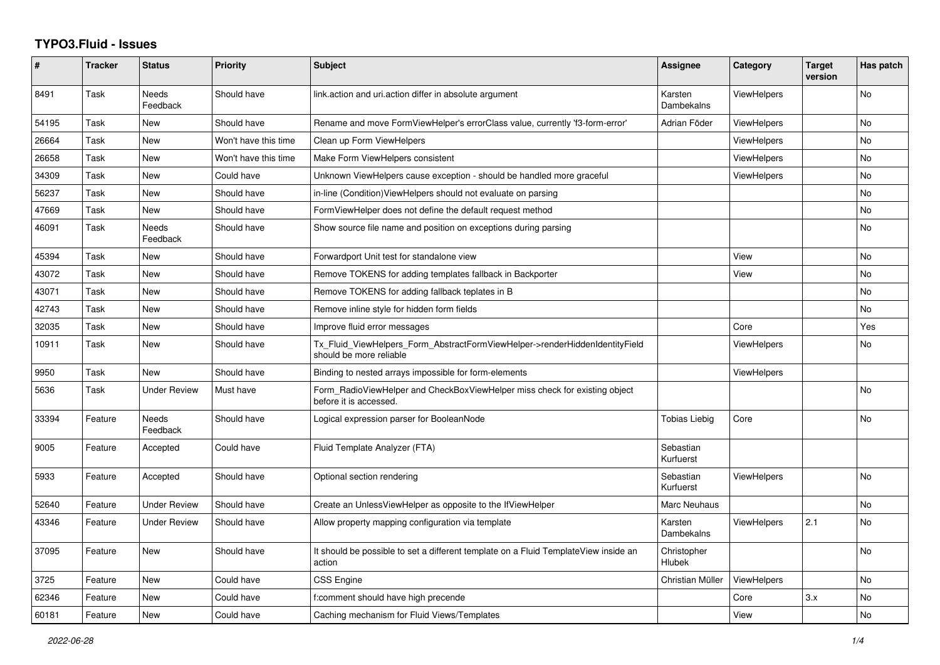## **TYPO3.Fluid - Issues**

| #     | <b>Tracker</b> | <b>Status</b>            | Priority             | <b>Subject</b>                                                                                         | Assignee               | Category           | <b>Target</b><br>version | Has patch |
|-------|----------------|--------------------------|----------------------|--------------------------------------------------------------------------------------------------------|------------------------|--------------------|--------------------------|-----------|
| 8491  | Task           | <b>Needs</b><br>Feedback | Should have          | link.action and uri.action differ in absolute argument                                                 | Karsten<br>Dambekalns  | <b>ViewHelpers</b> |                          | No        |
| 54195 | Task           | New                      | Should have          | Rename and move FormViewHelper's errorClass value, currently 'f3-form-error'                           | Adrian Föder           | <b>ViewHelpers</b> |                          | No        |
| 26664 | Task           | <b>New</b>               | Won't have this time | Clean up Form ViewHelpers                                                                              |                        | <b>ViewHelpers</b> |                          | <b>No</b> |
| 26658 | Task           | New                      | Won't have this time | Make Form ViewHelpers consistent                                                                       |                        | <b>ViewHelpers</b> |                          | No        |
| 34309 | Task           | <b>New</b>               | Could have           | Unknown ViewHelpers cause exception - should be handled more graceful                                  |                        | <b>ViewHelpers</b> |                          | <b>No</b> |
| 56237 | Task           | <b>New</b>               | Should have          | in-line (Condition) View Helpers should not evaluate on parsing                                        |                        |                    |                          | <b>No</b> |
| 47669 | Task           | New                      | Should have          | FormViewHelper does not define the default request method                                              |                        |                    |                          | <b>No</b> |
| 46091 | Task           | Needs<br>Feedback        | Should have          | Show source file name and position on exceptions during parsing                                        |                        |                    |                          | No        |
| 45394 | Task           | New                      | Should have          | Forwardport Unit test for standalone view                                                              |                        | View               |                          | No        |
| 43072 | Task           | <b>New</b>               | Should have          | Remove TOKENS for adding templates fallback in Backporter                                              |                        | View               |                          | <b>No</b> |
| 43071 | Task           | New                      | Should have          | Remove TOKENS for adding fallback teplates in B                                                        |                        |                    |                          | No        |
| 42743 | Task           | New                      | Should have          | Remove inline style for hidden form fields                                                             |                        |                    |                          | <b>No</b> |
| 32035 | Task           | <b>New</b>               | Should have          | Improve fluid error messages                                                                           |                        | Core               |                          | Yes       |
| 10911 | Task           | New                      | Should have          | Tx Fluid ViewHelpers Form AbstractFormViewHelper->renderHiddenIdentityField<br>should be more reliable |                        | <b>ViewHelpers</b> |                          | No        |
| 9950  | Task           | New                      | Should have          | Binding to nested arrays impossible for form-elements                                                  |                        | <b>ViewHelpers</b> |                          |           |
| 5636  | Task           | Under Review             | Must have            | Form RadioViewHelper and CheckBoxViewHelper miss check for existing object<br>before it is accessed.   |                        |                    |                          | <b>No</b> |
| 33394 | Feature        | <b>Needs</b><br>Feedback | Should have          | Logical expression parser for BooleanNode                                                              | <b>Tobias Liebig</b>   | Core               |                          | <b>No</b> |
| 9005  | Feature        | Accepted                 | Could have           | Fluid Template Analyzer (FTA)                                                                          | Sebastian<br>Kurfuerst |                    |                          |           |
| 5933  | Feature        | Accepted                 | Should have          | Optional section rendering                                                                             | Sebastian<br>Kurfuerst | <b>ViewHelpers</b> |                          | No        |
| 52640 | Feature        | <b>Under Review</b>      | Should have          | Create an UnlessViewHelper as opposite to the IfViewHelper                                             | Marc Neuhaus           |                    |                          | No        |
| 43346 | Feature        | Under Review             | Should have          | Allow property mapping configuration via template                                                      | Karsten<br>Dambekalns  | <b>ViewHelpers</b> | 2.1                      | <b>No</b> |
| 37095 | Feature        | New                      | Should have          | It should be possible to set a different template on a Fluid TemplateView inside an<br>action          | Christopher<br>Hlubek  |                    |                          | No        |
| 3725  | Feature        | New                      | Could have           | CSS Engine                                                                                             | Christian Müller       | ViewHelpers        |                          | <b>No</b> |
| 62346 | Feature        | New                      | Could have           | f:comment should have high precende                                                                    |                        | Core               | 3.x                      | <b>No</b> |
| 60181 | Feature        | New                      | Could have           | Caching mechanism for Fluid Views/Templates                                                            |                        | View               |                          | No        |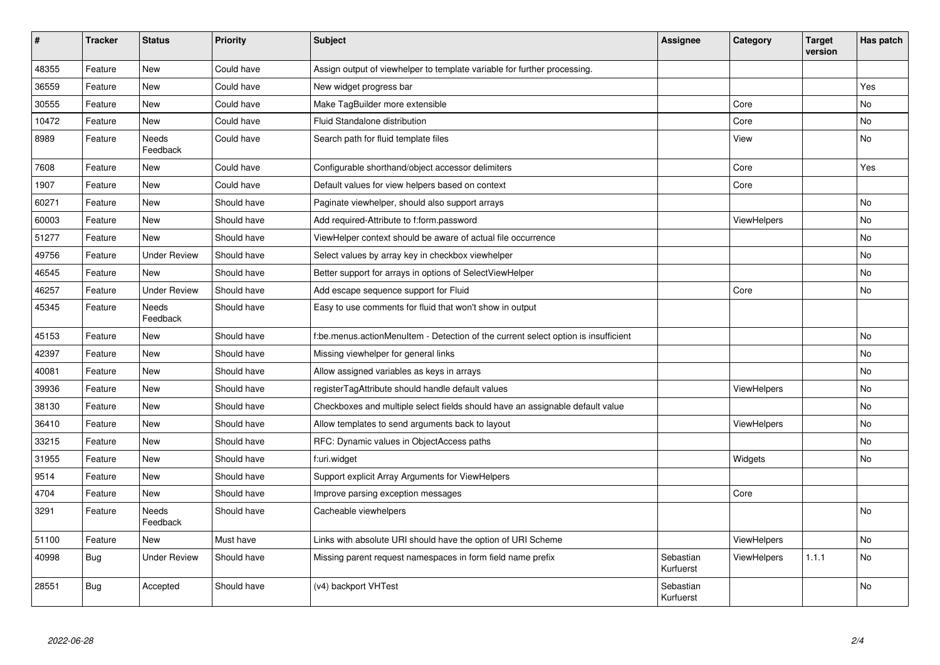| $\sharp$ | <b>Tracker</b> | <b>Status</b>       | <b>Priority</b> | <b>Subject</b>                                                                     | <b>Assignee</b>        | Category           | <b>Target</b><br>version | Has patch |
|----------|----------------|---------------------|-----------------|------------------------------------------------------------------------------------|------------------------|--------------------|--------------------------|-----------|
| 48355    | Feature        | New                 | Could have      | Assign output of viewhelper to template variable for further processing.           |                        |                    |                          |           |
| 36559    | Feature        | New                 | Could have      | New widget progress bar                                                            |                        |                    |                          | Yes       |
| 30555    | Feature        | New                 | Could have      | Make TagBuilder more extensible                                                    |                        | Core               |                          | No        |
| 10472    | Feature        | New                 | Could have      | Fluid Standalone distribution                                                      |                        | Core               |                          | No        |
| 8989     | Feature        | Needs<br>Feedback   | Could have      | Search path for fluid template files                                               |                        | View               |                          | No        |
| 7608     | Feature        | New                 | Could have      | Configurable shorthand/object accessor delimiters                                  |                        | Core               |                          | Yes       |
| 1907     | Feature        | <b>New</b>          | Could have      | Default values for view helpers based on context                                   |                        | Core               |                          |           |
| 60271    | Feature        | <b>New</b>          | Should have     | Paginate viewhelper, should also support arrays                                    |                        |                    |                          | <b>No</b> |
| 60003    | Feature        | New                 | Should have     | Add required-Attribute to f:form.password                                          |                        | ViewHelpers        |                          | No        |
| 51277    | Feature        | <b>New</b>          | Should have     | ViewHelper context should be aware of actual file occurrence                       |                        |                    |                          | <b>No</b> |
| 49756    | Feature        | Under Review        | Should have     | Select values by array key in checkbox viewhelper                                  |                        |                    |                          | <b>No</b> |
| 46545    | Feature        | New                 | Should have     | Better support for arrays in options of SelectViewHelper                           |                        |                    |                          | No        |
| 46257    | Feature        | <b>Under Review</b> | Should have     | Add escape sequence support for Fluid                                              |                        | Core               |                          | No        |
| 45345    | Feature        | Needs<br>Feedback   | Should have     | Easy to use comments for fluid that won't show in output                           |                        |                    |                          |           |
| 45153    | Feature        | New                 | Should have     | f:be.menus.actionMenuItem - Detection of the current select option is insufficient |                        |                    |                          | <b>No</b> |
| 42397    | Feature        | New                 | Should have     | Missing viewhelper for general links                                               |                        |                    |                          | No        |
| 40081    | Feature        | New                 | Should have     | Allow assigned variables as keys in arrays                                         |                        |                    |                          | No        |
| 39936    | Feature        | New                 | Should have     | registerTagAttribute should handle default values                                  |                        | <b>ViewHelpers</b> |                          | <b>No</b> |
| 38130    | Feature        | New                 | Should have     | Checkboxes and multiple select fields should have an assignable default value      |                        |                    |                          | No        |
| 36410    | Feature        | New                 | Should have     | Allow templates to send arguments back to layout                                   |                        | <b>ViewHelpers</b> |                          | <b>No</b> |
| 33215    | Feature        | New                 | Should have     | RFC: Dynamic values in ObjectAccess paths                                          |                        |                    |                          | No        |
| 31955    | Feature        | New                 | Should have     | f:uri.widget                                                                       |                        | Widgets            |                          | No        |
| 9514     | Feature        | New                 | Should have     | Support explicit Array Arguments for ViewHelpers                                   |                        |                    |                          |           |
| 4704     | Feature        | New                 | Should have     | Improve parsing exception messages                                                 |                        | Core               |                          |           |
| 3291     | Feature        | Needs<br>Feedback   | Should have     | Cacheable viewhelpers                                                              |                        |                    |                          | No        |
| 51100    | Feature        | <b>New</b>          | Must have       | Links with absolute URI should have the option of URI Scheme                       |                        | <b>ViewHelpers</b> |                          | No        |
| 40998    | Bug            | <b>Under Review</b> | Should have     | Missing parent request namespaces in form field name prefix                        | Sebastian<br>Kurfuerst | ViewHelpers        | 1.1.1                    | No        |
| 28551    | <b>Bug</b>     | Accepted            | Should have     | (v4) backport VHTest                                                               | Sebastian<br>Kurfuerst |                    |                          | No        |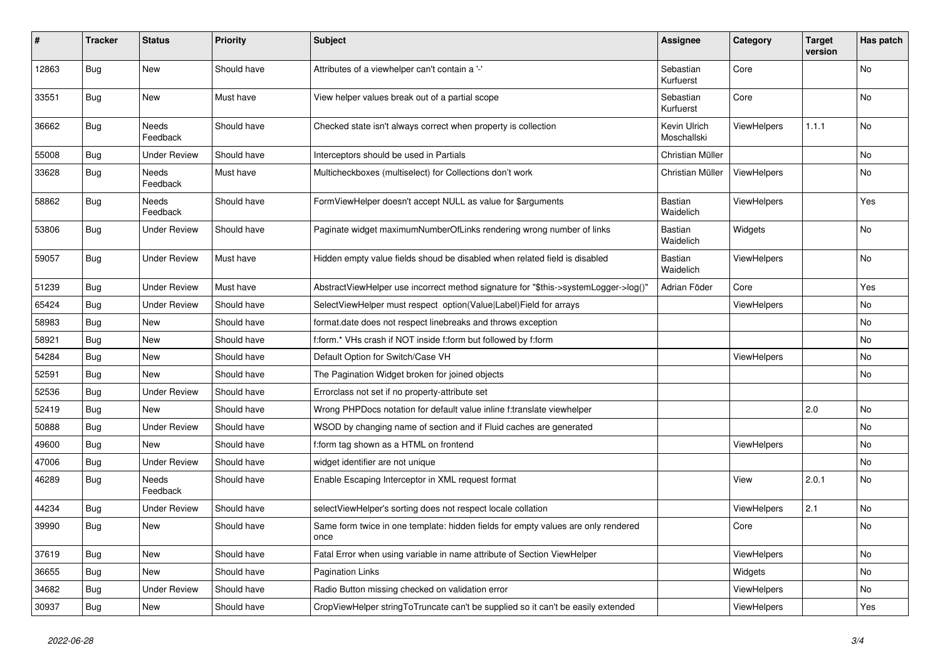| #     | <b>Tracker</b> | <b>Status</b>       | <b>Priority</b> | <b>Subject</b>                                                                            | Assignee                    | Category           | <b>Target</b><br>version | Has patch |
|-------|----------------|---------------------|-----------------|-------------------------------------------------------------------------------------------|-----------------------------|--------------------|--------------------------|-----------|
| 12863 | <b>Bug</b>     | <b>New</b>          | Should have     | Attributes of a viewhelper can't contain a '-'                                            | Sebastian<br>Kurfuerst      | Core               |                          | <b>No</b> |
| 33551 | <b>Bug</b>     | New                 | Must have       | View helper values break out of a partial scope                                           | Sebastian<br>Kurfuerst      | Core               |                          | No        |
| 36662 | Bug            | Needs<br>Feedback   | Should have     | Checked state isn't always correct when property is collection                            | Kevin Ulrich<br>Moschallski | ViewHelpers        | 1.1.1                    | No        |
| 55008 | Bug            | <b>Under Review</b> | Should have     | Interceptors should be used in Partials                                                   | Christian Müller            |                    |                          | <b>No</b> |
| 33628 | Bug            | Needs<br>Feedback   | Must have       | Multicheckboxes (multiselect) for Collections don't work                                  | Christian Müller            | ViewHelpers        |                          | <b>No</b> |
| 58862 | Bug            | Needs<br>Feedback   | Should have     | FormViewHelper doesn't accept NULL as value for \$arguments                               | Bastian<br>Waidelich        | <b>ViewHelpers</b> |                          | Yes       |
| 53806 | Bug            | <b>Under Review</b> | Should have     | Paginate widget maximumNumberOfLinks rendering wrong number of links                      | Bastian<br>Waidelich        | Widgets            |                          | No        |
| 59057 | Bug            | <b>Under Review</b> | Must have       | Hidden empty value fields shoud be disabled when related field is disabled                | Bastian<br>Waidelich        | ViewHelpers        |                          | <b>No</b> |
| 51239 | <b>Bug</b>     | <b>Under Review</b> | Must have       | AbstractViewHelper use incorrect method signature for "\$this->systemLogger->log()"       | Adrian Föder                | Core               |                          | Yes       |
| 65424 | Bug            | <b>Under Review</b> | Should have     | SelectViewHelper must respect option(Value Label)Field for arrays                         |                             | ViewHelpers        |                          | No        |
| 58983 | <b>Bug</b>     | <b>New</b>          | Should have     | format.date does not respect linebreaks and throws exception                              |                             |                    |                          | <b>No</b> |
| 58921 | Bug            | <b>New</b>          | Should have     | f:form.* VHs crash if NOT inside f:form but followed by f:form                            |                             |                    |                          | <b>No</b> |
| 54284 | <b>Bug</b>     | <b>New</b>          | Should have     | Default Option for Switch/Case VH                                                         |                             | ViewHelpers        |                          | <b>No</b> |
| 52591 | Bug            | <b>New</b>          | Should have     | The Pagination Widget broken for joined objects                                           |                             |                    |                          | <b>No</b> |
| 52536 | <b>Bug</b>     | Under Review        | Should have     | Errorclass not set if no property-attribute set                                           |                             |                    |                          |           |
| 52419 | <b>Bug</b>     | <b>New</b>          | Should have     | Wrong PHPDocs notation for default value inline f:translate viewhelper                    |                             |                    | 2.0                      | No        |
| 50888 | Bug            | <b>Under Review</b> | Should have     | WSOD by changing name of section and if Fluid caches are generated                        |                             |                    |                          | No        |
| 49600 | Bug            | New                 | Should have     | f:form tag shown as a HTML on frontend                                                    |                             | <b>ViewHelpers</b> |                          | No        |
| 47006 | Bug            | <b>Under Review</b> | Should have     | widget identifier are not unique                                                          |                             |                    |                          | No        |
| 46289 | Bug            | Needs<br>Feedback   | Should have     | Enable Escaping Interceptor in XML request format                                         |                             | View               | 2.0.1                    | No        |
| 44234 | <b>Bug</b>     | Under Review        | Should have     | selectViewHelper's sorting does not respect locale collation                              |                             | ViewHelpers        | 2.1                      | <b>No</b> |
| 39990 | Bug            | New                 | Should have     | Same form twice in one template: hidden fields for empty values are only rendered<br>once |                             | Core               |                          | <b>No</b> |
| 37619 | Bug            | <b>New</b>          | Should have     | Fatal Error when using variable in name attribute of Section ViewHelper                   |                             | <b>ViewHelpers</b> |                          | <b>No</b> |
| 36655 | Bug            | <b>New</b>          | Should have     | <b>Pagination Links</b>                                                                   |                             | Widgets            |                          | <b>No</b> |
| 34682 | Bug            | <b>Under Review</b> | Should have     | Radio Button missing checked on validation error                                          |                             | <b>ViewHelpers</b> |                          | No        |
| 30937 | <b>Bug</b>     | New                 | Should have     | CropViewHelper stringToTruncate can't be supplied so it can't be easily extended          |                             | ViewHelpers        |                          | Yes       |